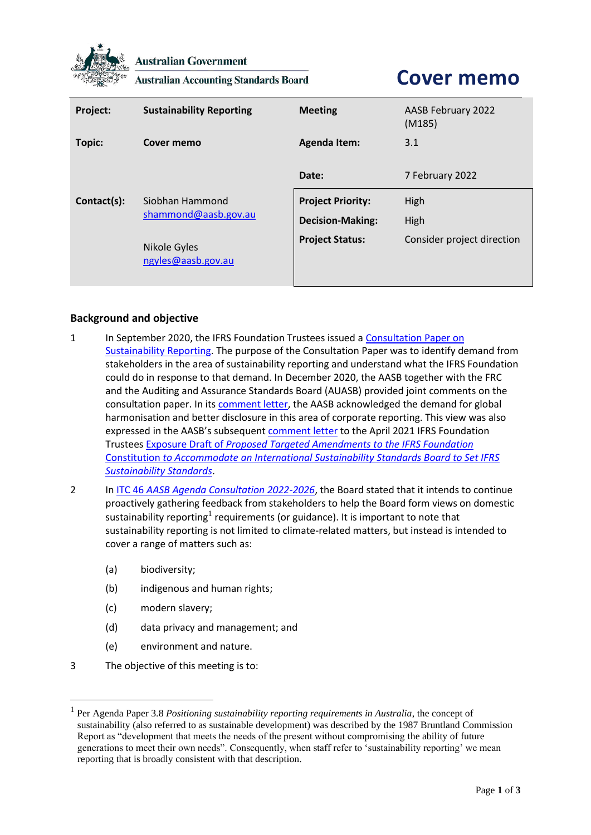

**Australian Government** 

**Australian Accounting Standards Board** 

## **Cover memo**

| Project:    | <b>Sustainability Reporting</b>                                               | <b>Meeting</b>                                                                | AASB February 2022<br>(M185)               |
|-------------|-------------------------------------------------------------------------------|-------------------------------------------------------------------------------|--------------------------------------------|
| Topic:      | Cover memo                                                                    | <b>Agenda Item:</b>                                                           | 3.1                                        |
|             |                                                                               | Date:                                                                         | 7 February 2022                            |
| Contact(s): | Siobhan Hammond<br>shammond@aasb.gov.au<br>Nikole Gyles<br>ngyles@aasb.gov.au | <b>Project Priority:</b><br><b>Decision-Making:</b><br><b>Project Status:</b> | High<br>High<br>Consider project direction |

## **Background and objective**

- 1 In September 2020, the IFRS Foundation Trustees issued a Consultation Paper on [Sustainability Reporting.](https://cdn.ifrs.org/content/dam/ifrs/project/sustainability-reporting/consultation-paper-on-sustainability-reporting.pdf?la=en) The purpose of the Consultation Paper was to identify demand from stakeholders in the area of sustainability reporting and understand what the IFRS Foundation could do in response to that demand. In December 2020, the AASB together with the FRC and the Auditing and Assurance Standards Board (AUASB) provided joint comments on the consultation paper. In its [comment letter,](https://www.aasb.gov.au/admin/file/content102/c3/JointLettertoIASB_CP_SustainabilityReporting_20201222.pdf) the AASB acknowledged the demand for global harmonisation and better disclosure in this area of corporate reporting. This view was also expressed in the AASB's subsequent [comment letter](https://www.aasb.gov.au/media/3buj3oix/jointlettertoifrstrustees_ed_sustainabilityreporting_20210729.pdf) to the April 2021 IFRS Foundation Trustees Exposure Draft of *[Proposed Targeted Amendments to the IFRS Foundation](https://www.ifrs.org/content/dam/ifrs/project/sustainability-reporting/ed-2021-5-proposed-constitution-amendments-to-accommodate-sustainability-board.pdf)*  Constitution *[to Accommodate an International Sustainability Standards Board to Set IFRS](https://www.ifrs.org/content/dam/ifrs/project/sustainability-reporting/ed-2021-5-proposed-constitution-amendments-to-accommodate-sustainability-board.pdf)  [Sustainability Standards](https://www.ifrs.org/content/dam/ifrs/project/sustainability-reporting/ed-2021-5-proposed-constitution-amendments-to-accommodate-sustainability-board.pdf)*.
- 2 In ITC 46 *[AASB Agenda Consultation](https://www.aasb.gov.au/admin/file/content105/c9/ITC46_10-21.pdf) 2022-2026*, the Board stated that it intends to continue proactively gathering feedback from stakeholders to help the Board form views on domestic sustainability reporting<sup>1</sup> requirements (or guidance). It is important to note that sustainability reporting is not limited to climate-related matters, but instead is intended to cover a range of matters such as:
	- (a) biodiversity;
	- (b) indigenous and human rights;
	- (c) modern slavery;
	- (d) data privacy and management; and
	- (e) environment and nature.
- 3 The objective of this meeting is to:

<sup>1</sup> Per Agenda Paper 3.8 *Positioning sustainability reporting requirements in Australia*, the concept of sustainability (also referred to as sustainable development) was described by the 1987 Bruntland Commission Report as "development that meets the needs of the present without compromising the ability of future generations to meet their own needs". Consequently, when staff refer to 'sustainability reporting' we mean reporting that is broadly consistent with that description.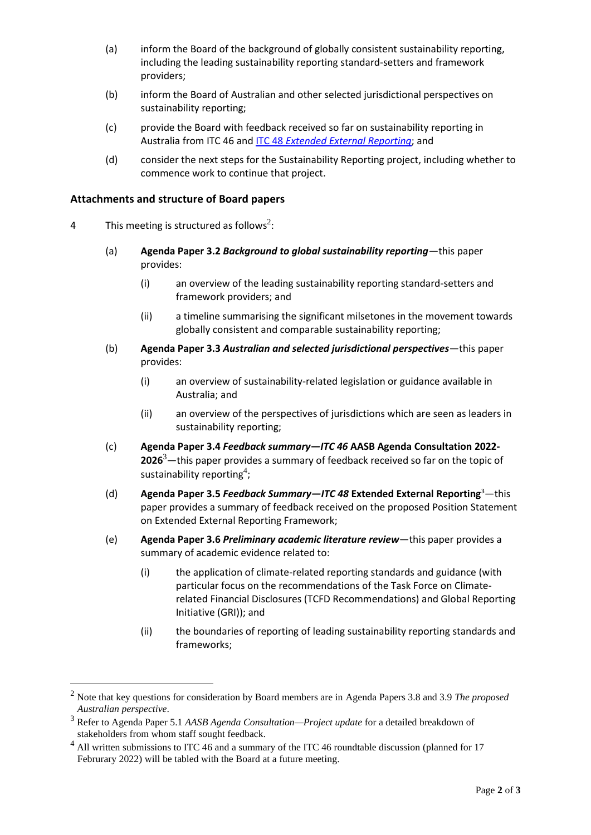- (a) inform the Board of the background of globally consistent sustainability reporting, including the leading sustainability reporting standard-setters and framework providers;
- (b) inform the Board of Australian and other selected jurisdictional perspectives on sustainability reporting;
- (c) provide the Board with feedback received so far on sustainability reporting in Australia from ITC 46 and ITC 48 *[Extended External Reporting](https://www.aasb.gov.au/admin/file/content105/c9/ITC48_11-21.pdf)*; and
- (d) consider the next steps for the Sustainability Reporting project, including whether to commence work to continue that project.

## **Attachments and structure of Board papers**

- 4 This meeting is structured as follows<sup>2</sup>:
	- (a) **Agenda Paper 3.2** *Background to global sustainability reporting*—this paper provides:
		- (i) an overview of the leading sustainability reporting standard-setters and framework providers; and
		- (ii) a timeline summarising the significant milsetones in the movement towards globally consistent and comparable sustainability reporting;
	- (b) **Agenda Paper 3.3** *Australian and selected jurisdictional perspectives*—this paper provides:
		- (i) an overview of sustainability-related legislation or guidance available in Australia; and
		- (ii) an overview of the perspectives of jurisdictions which are seen as leaders in sustainability reporting;
	- (c) **Agenda Paper 3.4** *Feedback summary—ITC 46* **AASB Agenda Consultation 2022- 2026**3—this paper provides a summary of feedback received so far on the topic of sustainability reporting<sup>4</sup>;
	- (d) **Agenda Paper 3.5** *Feedback Summary—ITC 48* **Extended External Reporting**<sup>3</sup>—this paper provides a summary of feedback received on the proposed Position Statement on Extended External Reporting Framework;
	- (e) **Agenda Paper 3.6** *Preliminary academic literature review*—this paper provides a summary of academic evidence related to:
		- (i) the application of climate-related reporting standards and guidance (with particular focus on the recommendations of the Task Force on Climaterelated Financial Disclosures (TCFD Recommendations) and Global Reporting Initiative (GRI)); and
		- (ii) the boundaries of reporting of leading sustainability reporting standards and frameworks;

<sup>2</sup> Note that key questions for consideration by Board members are in Agenda Papers 3.8 and 3.9 *The proposed Australian perspective*.

<sup>3</sup> Refer to Agenda Paper 5.1 *AASB Agenda Consultation—Project update* for a detailed breakdown of stakeholders from whom staff sought feedback.

 $<sup>4</sup>$  All written submissions to ITC 46 and a summary of the ITC 46 roundtable discussion (planned for 17</sup> Februrary 2022) will be tabled with the Board at a future meeting.